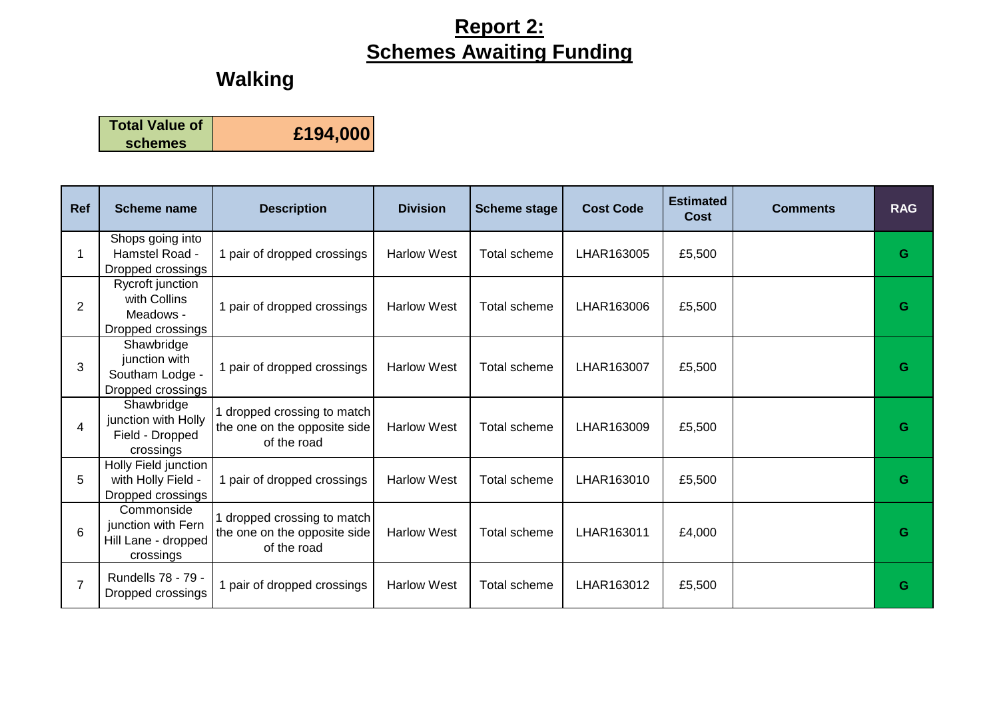| <b>Total Value of</b> | £194,000 |
|-----------------------|----------|
| <b>schemes</b>        |          |

| <b>Ref</b>     | <b>Scheme name</b>                                                   | <b>Description</b>                                                       | <b>Division</b>    | <b>Scheme stage</b> | <b>Cost Code</b> | <b>Estimated</b><br><b>Cost</b> | <b>Comments</b> | <b>RAG</b> |
|----------------|----------------------------------------------------------------------|--------------------------------------------------------------------------|--------------------|---------------------|------------------|---------------------------------|-----------------|------------|
| 1              | Shops going into<br>Hamstel Road -<br>Dropped crossings              | 1 pair of dropped crossings                                              | <b>Harlow West</b> | Total scheme        | LHAR163005       | £5,500                          |                 | G          |
| 2              | Rycroft junction<br>with Collins<br>Meadows -<br>Dropped crossings   | 1 pair of dropped crossings                                              | <b>Harlow West</b> | Total scheme        | LHAR163006       | £5,500                          |                 | G          |
| 3              | Shawbridge<br>junction with<br>Southam Lodge -<br>Dropped crossings  | 1 pair of dropped crossings                                              | <b>Harlow West</b> | Total scheme        | LHAR163007       | £5,500                          |                 | G          |
| 4              | Shawbridge<br>junction with Holly<br>Field - Dropped<br>crossings    | dropped crossing to match<br>the one on the opposite side<br>of the road | <b>Harlow West</b> | <b>Total scheme</b> | LHAR163009       | £5,500                          |                 | G          |
| 5              | Holly Field junction<br>with Holly Field -<br>Dropped crossings      | 1 pair of dropped crossings                                              | <b>Harlow West</b> | Total scheme        | LHAR163010       | £5,500                          |                 | G          |
| 6              | Commonside<br>junction with Fern<br>Hill Lane - dropped<br>crossings | dropped crossing to match<br>the one on the opposite side<br>of the road | <b>Harlow West</b> | Total scheme        | LHAR163011       | £4,000                          |                 | G          |
| $\overline{7}$ | Rundells 78 - 79 -<br>Dropped crossings                              | 1 pair of dropped crossings                                              | <b>Harlow West</b> | Total scheme        | LHAR163012       | £5,500                          |                 | G          |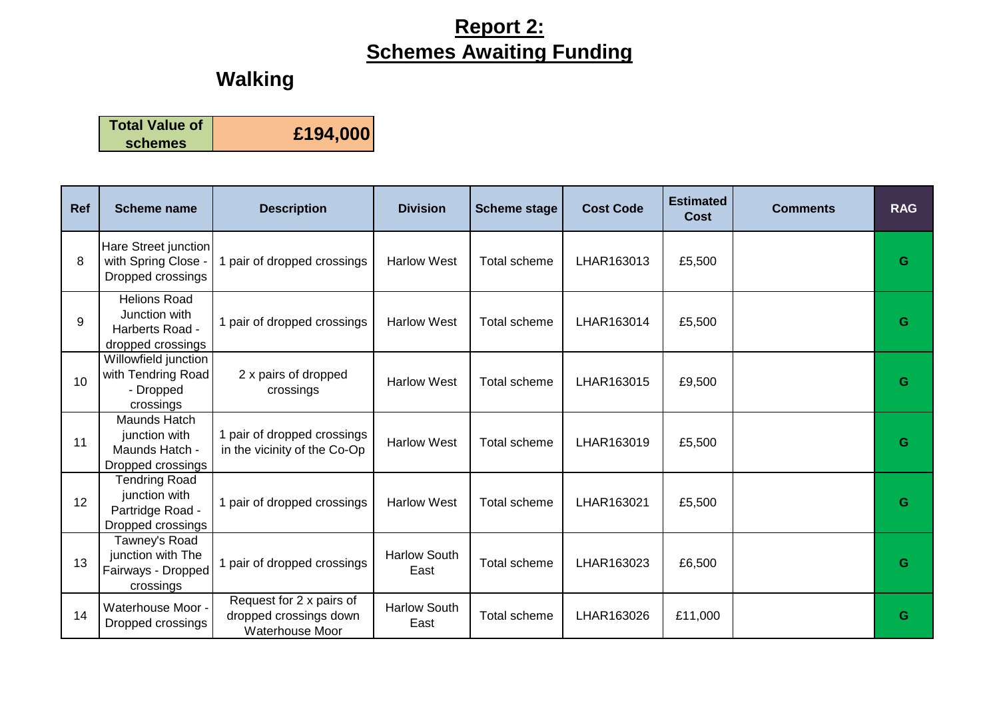| <b>Total Value of</b> | £194,000 |
|-----------------------|----------|
| <b>schemes</b>        |          |

| Ref | <b>Scheme name</b>                                                             | <b>Description</b>                                                           | <b>Division</b>             | <b>Scheme stage</b> | <b>Cost Code</b> | <b>Estimated</b><br><b>Cost</b> | <b>Comments</b> | <b>RAG</b> |
|-----|--------------------------------------------------------------------------------|------------------------------------------------------------------------------|-----------------------------|---------------------|------------------|---------------------------------|-----------------|------------|
| 8   | Hare Street junction<br>with Spring Close -<br>Dropped crossings               | 1 pair of dropped crossings                                                  | <b>Harlow West</b>          | Total scheme        | LHAR163013       | £5,500                          |                 | G          |
| 9   | <b>Helions Road</b><br>Junction with<br>Harberts Road -<br>dropped crossings   | 1 pair of dropped crossings                                                  | <b>Harlow West</b>          | Total scheme        | LHAR163014       | £5,500                          |                 | G          |
| 10  | Willowfield junction<br>with Tendring Road<br>- Dropped<br>crossings           | 2 x pairs of dropped<br>crossings                                            | <b>Harlow West</b>          | Total scheme        | LHAR163015       | £9,500                          |                 | G          |
| 11  | Maunds Hatch<br>junction with<br>Maunds Hatch -<br>Dropped crossings           | 1 pair of dropped crossings<br>in the vicinity of the Co-Op                  | <b>Harlow West</b>          | <b>Total scheme</b> | LHAR163019       | £5,500                          |                 | G          |
| 12  | <b>Tendring Road</b><br>junction with<br>Partridge Road -<br>Dropped crossings | 1 pair of dropped crossings                                                  | <b>Harlow West</b>          | <b>Total scheme</b> | LHAR163021       | £5,500                          |                 | G          |
| 13  | Tawney's Road<br>junction with The<br>Fairways - Dropped<br>crossings          | pair of dropped crossings                                                    | <b>Harlow South</b><br>East | Total scheme        | LHAR163023       | £6,500                          |                 | G          |
| 14  | Waterhouse Moor -<br>Dropped crossings                                         | Request for 2 x pairs of<br>dropped crossings down<br><b>Waterhouse Moor</b> | <b>Harlow South</b><br>East | Total scheme        | LHAR163026       | £11,000                         |                 | G          |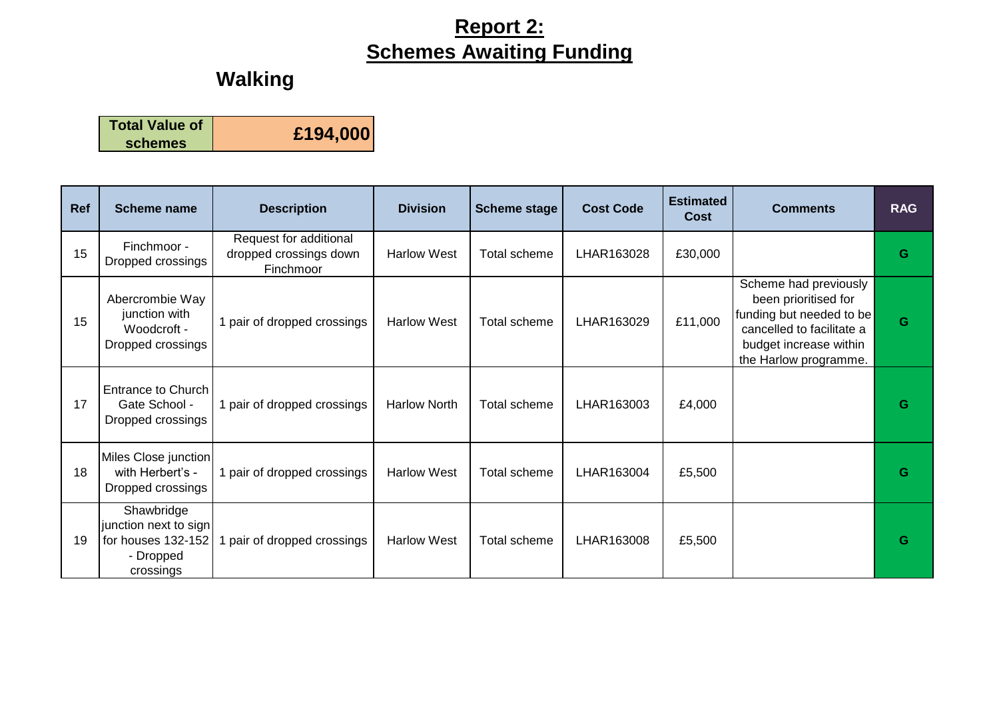| <b>Total Value of</b> | £194,000 |
|-----------------------|----------|
| <b>schemes</b>        |          |

| Ref | <b>Scheme name</b>                                                                  | <b>Description</b>                                            | <b>Division</b>     | <b>Scheme stage</b> | <b>Cost Code</b> | <b>Estimated</b><br>Cost | <b>Comments</b>                                                                                                                                           | <b>RAG</b> |
|-----|-------------------------------------------------------------------------------------|---------------------------------------------------------------|---------------------|---------------------|------------------|--------------------------|-----------------------------------------------------------------------------------------------------------------------------------------------------------|------------|
| 15  | Finchmoor -<br>Dropped crossings                                                    | Request for additional<br>dropped crossings down<br>Finchmoor | <b>Harlow West</b>  | Total scheme        | LHAR163028       | £30,000                  |                                                                                                                                                           | G          |
| 15  | Abercrombie Way<br>junction with<br>Woodcroft -<br>Dropped crossings                | 1 pair of dropped crossings                                   | <b>Harlow West</b>  | Total scheme        | LHAR163029       | £11,000                  | Scheme had previously<br>been prioritised for<br>funding but needed to be<br>cancelled to facilitate a<br>budget increase within<br>the Harlow programme. | G          |
| 17  | Entrance to Church<br>Gate School -<br>Dropped crossings                            | 1 pair of dropped crossings                                   | <b>Harlow North</b> | Total scheme        | LHAR163003       | £4,000                   |                                                                                                                                                           | G          |
| 18  | Miles Close junction<br>with Herbert's -<br>Dropped crossings                       | 1 pair of dropped crossings                                   | <b>Harlow West</b>  | Total scheme        | LHAR163004       | £5,500                   |                                                                                                                                                           | G          |
| 19  | Shawbridge<br>junction next to sign<br>for houses 132-152<br>- Dropped<br>crossings | pair of dropped crossings                                     | <b>Harlow West</b>  | Total scheme        | LHAR163008       | £5,500                   |                                                                                                                                                           | G          |